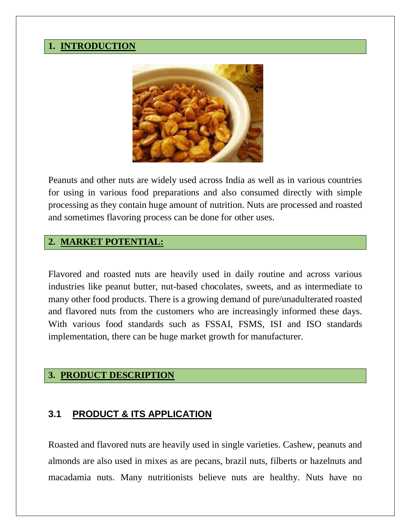#### **1. INTRODUCTION**



Peanuts and other nuts are widely used across India as well as in various countries for using in various food preparations and also consumed directly with simple processing as they contain huge amount of nutrition. Nuts are processed and roasted and sometimes flavoring process can be done for other uses.

## **2. MARKET POTENTIAL:**

Flavored and roasted nuts are heavily used in daily routine and across various industries like peanut butter, nut-based chocolates, sweets, and as intermediate to many other food products. There is a growing demand of pure/unadulterated roasted and flavored nuts from the customers who are increasingly informed these days. With various food standards such as FSSAI, FSMS, ISI and ISO standards implementation, there can be huge market growth for manufacturer.

#### **3. PRODUCT DESCRIPTION**

#### **3.1 PRODUCT & ITS APPLICATION**

Roasted and flavored nuts are heavily used in single varieties. Cashew, peanuts and almonds are also used in mixes as are pecans, brazil nuts, filberts or hazelnuts and macadamia nuts. Many nutritionists believe nuts are healthy. Nuts have no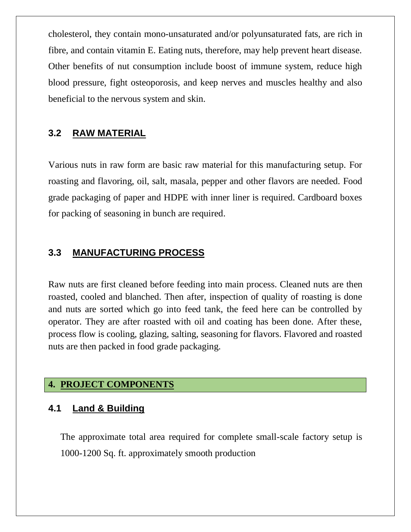cholesterol, they contain mono-unsaturated and/or polyunsaturated fats, are rich in fibre, and contain vitamin E. Eating nuts, therefore, may help prevent heart disease. Other benefits of nut consumption include boost of immune system, reduce high blood pressure, fight osteoporosis, and keep nerves and muscles healthy and also beneficial to the nervous system and skin.

#### **3.2 RAW MATERIAL**

Various nuts in raw form are basic raw material for this manufacturing setup. For roasting and flavoring, oil, salt, masala, pepper and other flavors are needed. Food grade packaging of paper and HDPE with inner liner is required. Cardboard boxes for packing of seasoning in bunch are required.

## **3.3 MANUFACTURING PROCESS**

Raw nuts are first cleaned before feeding into main process. Cleaned nuts are then roasted, cooled and blanched. Then after, inspection of quality of roasting is done and nuts are sorted which go into feed tank, the feed here can be controlled by operator. They are after roasted with oil and coating has been done. After these, process flow is cooling, glazing, salting, seasoning for flavors. Flavored and roasted nuts are then packed in food grade packaging.

#### **4. PROJECT COMPONENTS**

#### **4.1 Land & Building**

The approximate total area required for complete small-scale factory setup is 1000-1200 Sq. ft. approximately smooth production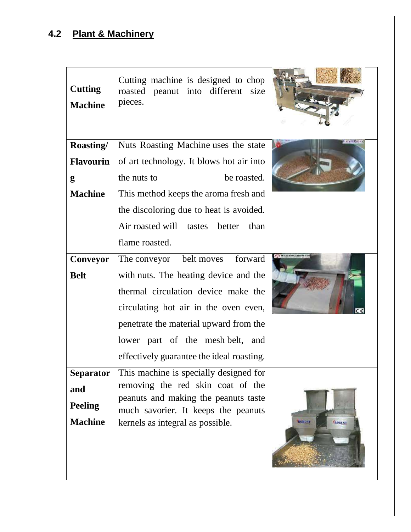# **4.2 Plant & Machinery**

| <b>Cutting</b><br><b>Machine</b> | Cutting machine is designed to chop<br>roasted peanut into different<br>size<br>pieces. |                                |
|----------------------------------|-----------------------------------------------------------------------------------------|--------------------------------|
| Roasting/                        | Nuts Roasting Machine uses the state                                                    |                                |
| <b>Flavourin</b>                 | of art technology. It blows hot air into                                                |                                |
| g                                | the nuts to<br>be roasted.                                                              |                                |
| <b>Machine</b>                   | This method keeps the aroma fresh and                                                   |                                |
|                                  | the discoloring due to heat is avoided.                                                 |                                |
|                                  | Air roasted will tastes<br>than<br>better                                               |                                |
|                                  | flame roasted.                                                                          |                                |
| Conveyor                         | forward<br>The conveyor belt moves                                                      |                                |
| <b>Belt</b>                      | with nuts. The heating device and the                                                   |                                |
|                                  | thermal circulation device make the                                                     |                                |
|                                  | circulating hot air in the oven even,                                                   |                                |
|                                  | penetrate the material upward from the                                                  |                                |
|                                  | lower part of the mesh belt, and                                                        |                                |
|                                  | effectively guarantee the ideal roasting.                                               |                                |
| <b>Separator</b>                 | This machine is specially designed for                                                  |                                |
| and                              | removing the red skin coat of the<br>peanuts and making the peanuts taste               |                                |
| <b>Peeling</b>                   | much savorier. It keeps the peanuts                                                     |                                |
| <b>Machine</b>                   | kernels as integral as possible.                                                        | <b>ROBUST</b><br><b>ROBUST</b> |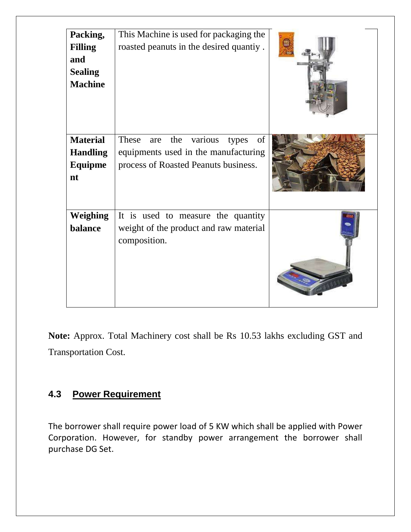| Packing,<br><b>Filling</b><br>and<br><b>Sealing</b><br><b>Machine</b> | This Machine is used for packaging the<br>roasted peanuts in the desired quantiy.                                                    |  |
|-----------------------------------------------------------------------|--------------------------------------------------------------------------------------------------------------------------------------|--|
| <b>Material</b><br><b>Handling</b><br><b>Equipme</b><br>nt            | various<br><b>These</b><br>the<br>of<br>are<br>types<br>equipments used in the manufacturing<br>process of Roasted Peanuts business. |  |
| <b>Weighing</b><br>balance                                            | It is used to measure the quantity<br>weight of the product and raw material<br>composition.                                         |  |

**Note:** Approx. Total Machinery cost shall be Rs 10.53 lakhs excluding GST and Transportation Cost.

## **4.3 Power Requirement**

The borrower shall require power load of 5 KW which shall be applied with Power Corporation. However, for standby power arrangement the borrower shall purchase DG Set.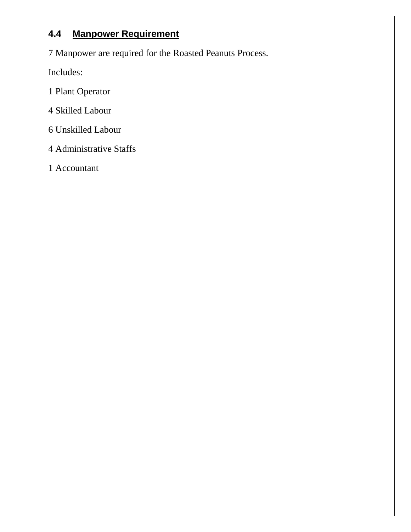## **4.4 Manpower Requirement**

7 Manpower are required for the Roasted Peanuts Process.

Includes:

- 1 Plant Operator
- 4 Skilled Labour
- 6 Unskilled Labour
- 4 Administrative Staffs
- 1 Accountant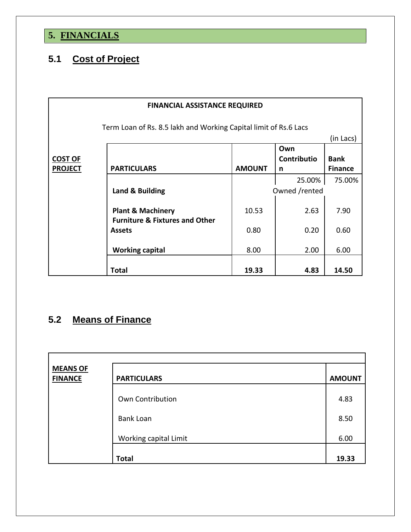# **5. FINANCIALS**

# **5.1 Cost of Project**

| <b>FINANCIAL ASSISTANCE REQUIRED</b> |                                                                               |               |                    |                |  |  |  |  |  |  |
|--------------------------------------|-------------------------------------------------------------------------------|---------------|--------------------|----------------|--|--|--|--|--|--|
|                                      |                                                                               |               |                    |                |  |  |  |  |  |  |
|                                      | Term Loan of Rs. 8.5 lakh and Working Capital limit of Rs.6 Lacs<br>(in Lacs) |               |                    |                |  |  |  |  |  |  |
|                                      |                                                                               |               | Own                |                |  |  |  |  |  |  |
| <b>COST OF</b>                       |                                                                               |               | <b>Contributio</b> | <b>Bank</b>    |  |  |  |  |  |  |
| <b>PROJECT</b>                       | <b>PARTICULARS</b>                                                            | <b>AMOUNT</b> | n                  | <b>Finance</b> |  |  |  |  |  |  |
|                                      |                                                                               |               | 25.00%             | 75.00%         |  |  |  |  |  |  |
|                                      | Land & Building                                                               |               | Owned /rented      |                |  |  |  |  |  |  |
|                                      | <b>Plant &amp; Machinery</b><br><b>Furniture &amp; Fixtures and Other</b>     | 10.53         | 2.63               | 7.90           |  |  |  |  |  |  |
|                                      | 0.80<br>0.20<br><b>Assets</b>                                                 |               |                    |                |  |  |  |  |  |  |
|                                      | <b>Working capital</b>                                                        | 8.00          | 2.00               | 6.00           |  |  |  |  |  |  |
|                                      | Total                                                                         | 19.33         | 4.83               | 14.50          |  |  |  |  |  |  |

# **5.2 Means of Finance**

| <b>MEANS OF</b><br><b>FINANCE</b> | <b>PARTICULARS</b>    | <b>AMOUNT</b> |
|-----------------------------------|-----------------------|---------------|
|                                   | Own Contribution      | 4.83          |
|                                   | <b>Bank Loan</b>      | 8.50          |
|                                   | Working capital Limit | 6.00          |
|                                   | <b>Total</b>          | 19.33         |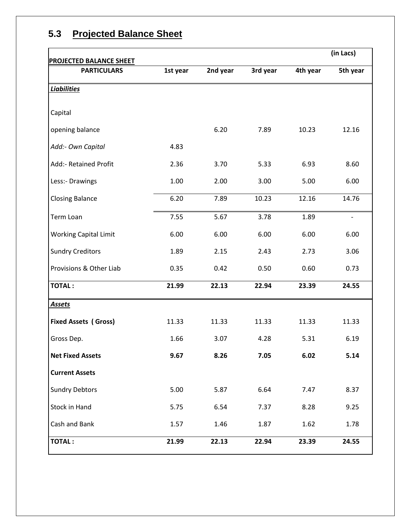| <b>PROJECTED BALANCE SHEET</b> |          |          |          |          | (in Lacs)                |
|--------------------------------|----------|----------|----------|----------|--------------------------|
| <b>PARTICULARS</b>             | 1st year | 2nd year | 3rd year | 4th year | 5th year                 |
| <b>Liabilities</b>             |          |          |          |          |                          |
| Capital                        |          |          |          |          |                          |
| opening balance                |          | 6.20     | 7.89     | 10.23    | 12.16                    |
| Add:- Own Capital              | 4.83     |          |          |          |                          |
| Add:- Retained Profit          | 2.36     | 3.70     | 5.33     | 6.93     | 8.60                     |
| Less:- Drawings                | 1.00     | 2.00     | 3.00     | 5.00     | 6.00                     |
| <b>Closing Balance</b>         | 6.20     | 7.89     | 10.23    | 12.16    | 14.76                    |
| Term Loan                      | 7.55     | 5.67     | 3.78     | 1.89     | $\overline{\phantom{a}}$ |
| <b>Working Capital Limit</b>   | 6.00     | 6.00     | 6.00     | 6.00     | 6.00                     |
| <b>Sundry Creditors</b>        | 1.89     | 2.15     | 2.43     | 2.73     | 3.06                     |
| Provisions & Other Liab        | 0.35     | 0.42     | 0.50     | 0.60     | 0.73                     |
| <b>TOTAL:</b>                  | 21.99    | 22.13    | 22.94    | 23.39    | 24.55                    |
| <b>Assets</b>                  |          |          |          |          |                          |
| <b>Fixed Assets (Gross)</b>    | 11.33    | 11.33    | 11.33    | 11.33    | 11.33                    |
| Gross Dep.                     | 1.66     | 3.07     | 4.28     | 5.31     | 6.19                     |
| <b>Net Fixed Assets</b>        | 9.67     | 8.26     | 7.05     | 6.02     | 5.14                     |
| <b>Current Assets</b>          |          |          |          |          |                          |
| <b>Sundry Debtors</b>          | 5.00     | 5.87     | 6.64     | 7.47     | 8.37                     |
| Stock in Hand                  | 5.75     | 6.54     | 7.37     | 8.28     | 9.25                     |
| Cash and Bank                  | 1.57     | 1.46     | 1.87     | 1.62     | 1.78                     |
| <b>TOTAL:</b>                  | 21.99    | 22.13    | 22.94    | 23.39    | 24.55                    |

# **5.3 Projected Balance Sheet**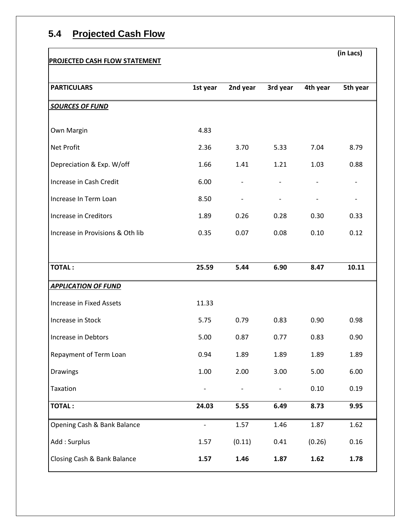## **5.4 Projected Cash Flow**

#### **PROJECTED CASH FLOW STATEMENT**

**(in Lacs)** 

| <b>PARTICULARS</b>               | 1st year | 2nd year | 3rd year | 4th year | 5th year |
|----------------------------------|----------|----------|----------|----------|----------|
|                                  |          |          |          |          |          |
| <b>SOURCES OF FUND</b>           |          |          |          |          |          |
| Own Margin                       | 4.83     |          |          |          |          |
| <b>Net Profit</b>                | 2.36     | 3.70     | 5.33     | 7.04     | 8.79     |
| Depreciation & Exp. W/off        | 1.66     | 1.41     | 1.21     | 1.03     | 0.88     |
| Increase in Cash Credit          | 6.00     |          |          |          |          |
| Increase In Term Loan            | 8.50     |          |          |          |          |
| Increase in Creditors            | 1.89     | 0.26     | 0.28     | 0.30     | 0.33     |
| Increase in Provisions & Oth lib | 0.35     | 0.07     | 0.08     | 0.10     | 0.12     |
|                                  |          |          |          |          |          |
| <b>TOTAL:</b>                    | 25.59    | 5.44     | 6.90     | 8.47     | 10.11    |
| <b>APPLICATION OF FUND</b>       |          |          |          |          |          |
| Increase in Fixed Assets         | 11.33    |          |          |          |          |
| Increase in Stock                | 5.75     | 0.79     | 0.83     | 0.90     | 0.98     |
| Increase in Debtors              | 5.00     | 0.87     | 0.77     | 0.83     | 0.90     |
| Repayment of Term Loan           | 0.94     | 1.89     | 1.89     | 1.89     | 1.89     |
| Drawings                         | 1.00     | 2.00     | 3.00     | 5.00     | 6.00     |
| Taxation                         |          |          |          | 0.10     | 0.19     |
| <b>TOTAL:</b>                    | 24.03    | 5.55     | 6.49     | 8.73     | 9.95     |
| Opening Cash & Bank Balance      |          | 1.57     | 1.46     | 1.87     | 1.62     |
| Add: Surplus                     | 1.57     | (0.11)   | 0.41     | (0.26)   | 0.16     |
| Closing Cash & Bank Balance      | 1.57     | 1.46     | 1.87     | 1.62     | 1.78     |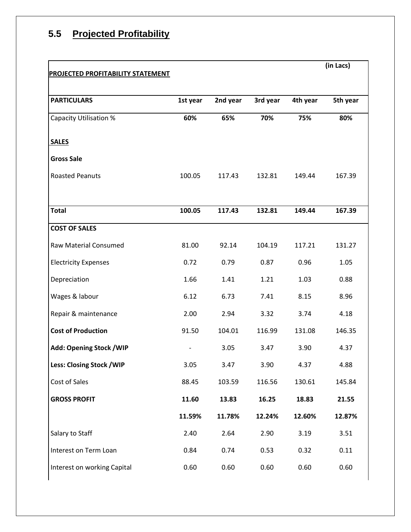# **5.5 Projected Profitability**

| <b>PROJECTED PROFITABILITY STATEMENT</b> |          |          |          |          | (in Lacs) |
|------------------------------------------|----------|----------|----------|----------|-----------|
|                                          |          |          |          |          |           |
| <b>PARTICULARS</b>                       | 1st year | 2nd year | 3rd year | 4th year | 5th year  |
| <b>Capacity Utilisation %</b>            | 60%      | 65%      | 70%      | 75%      | 80%       |
| <b>SALES</b>                             |          |          |          |          |           |
| <b>Gross Sale</b>                        |          |          |          |          |           |
| <b>Roasted Peanuts</b>                   | 100.05   | 117.43   | 132.81   | 149.44   | 167.39    |
|                                          |          |          |          |          |           |
| <b>Total</b>                             | 100.05   | 117.43   | 132.81   | 149.44   | 167.39    |
| <b>COST OF SALES</b>                     |          |          |          |          |           |
| <b>Raw Material Consumed</b>             | 81.00    | 92.14    | 104.19   | 117.21   | 131.27    |
| <b>Electricity Expenses</b>              | 0.72     | 0.79     | 0.87     | 0.96     | 1.05      |
| Depreciation                             | 1.66     | 1.41     | 1.21     | 1.03     | 0.88      |
| Wages & labour                           | 6.12     | 6.73     | 7.41     | 8.15     | 8.96      |
| Repair & maintenance                     | 2.00     | 2.94     | 3.32     | 3.74     | 4.18      |
| <b>Cost of Production</b>                | 91.50    | 104.01   | 116.99   | 131.08   | 146.35    |
| <b>Add: Opening Stock / WIP</b>          |          | 3.05     | 3.47     | 3.90     | 4.37      |
| Less: Closing Stock / WIP                | 3.05     | 3.47     | 3.90     | 4.37     | 4.88      |
| Cost of Sales                            | 88.45    | 103.59   | 116.56   | 130.61   | 145.84    |
| <b>GROSS PROFIT</b>                      | 11.60    | 13.83    | 16.25    | 18.83    | 21.55     |
|                                          | 11.59%   | 11.78%   | 12.24%   | 12.60%   | 12.87%    |
| Salary to Staff                          | 2.40     | 2.64     | 2.90     | 3.19     | 3.51      |
| Interest on Term Loan                    | 0.84     | 0.74     | 0.53     | 0.32     | 0.11      |
| Interest on working Capital              | 0.60     | 0.60     | 0.60     | 0.60     | 0.60      |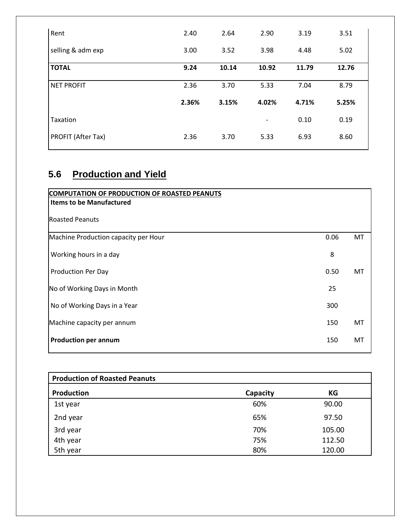| Rent               | 2.40  | 2.64  | 2.90                     | 3.19  | 3.51  |
|--------------------|-------|-------|--------------------------|-------|-------|
| selling & adm exp  | 3.00  | 3.52  | 3.98                     | 4.48  | 5.02  |
| <b>TOTAL</b>       | 9.24  | 10.14 | 10.92                    | 11.79 | 12.76 |
| <b>NET PROFIT</b>  | 2.36  | 3.70  | 5.33                     | 7.04  | 8.79  |
|                    | 2.36% | 3.15% | 4.02%                    | 4.71% | 5.25% |
| Taxation           |       |       | $\overline{\phantom{a}}$ | 0.10  | 0.19  |
| PROFIT (After Tax) | 2.36  | 3.70  | 5.33                     | 6.93  | 8.60  |

# **5.6 Production and Yield**

| COMPUTATION OF PRODUCTION OF ROASTED PEANUTS<br><b>Items to be Manufactured</b> |      |    |
|---------------------------------------------------------------------------------|------|----|
| <b>Roasted Peanuts</b>                                                          |      |    |
| Machine Production capacity per Hour                                            | 0.06 | MT |
| Working hours in a day                                                          | 8    |    |
| Production Per Day                                                              | 0.50 | MT |
| No of Working Days in Month                                                     | 25   |    |
| No of Working Days in a Year                                                    | 300  |    |
| Machine capacity per annum                                                      | 150  | MT |
| <b>Production per annum</b>                                                     | 150  | MT |

| <b>Production of Roasted Peanuts</b> |          |        |  |  |  |  |  |
|--------------------------------------|----------|--------|--|--|--|--|--|
| Production                           | Capacity | КG     |  |  |  |  |  |
| 1st year                             | 60%      | 90.00  |  |  |  |  |  |
| 2nd year                             | 65%      | 97.50  |  |  |  |  |  |
| 3rd year                             | 70%      | 105.00 |  |  |  |  |  |
| 4th year                             | 75%      | 112.50 |  |  |  |  |  |
| 5th year                             | 80%      | 120.00 |  |  |  |  |  |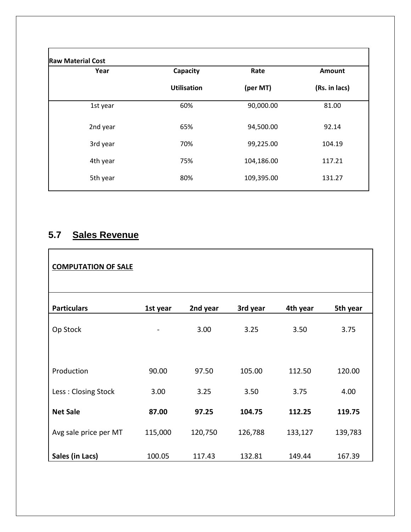| Year     | Capacity           | Rate       | Amount        |
|----------|--------------------|------------|---------------|
|          | <b>Utilisation</b> | (per MT)   | (Rs. in lacs) |
| 1st year | 60%                | 90,000.00  | 81.00         |
| 2nd year | 65%                | 94,500.00  | 92.14         |
| 3rd year | 70%                | 99,225.00  | 104.19        |
| 4th year | 75%                | 104,186.00 | 117.21        |
| 5th year | 80%                | 109,395.00 | 131.27        |

# **5.7 Sales Revenue**

| <b>COMPUTATION OF SALE</b> |          |          |          |          |          |
|----------------------------|----------|----------|----------|----------|----------|
| <b>Particulars</b>         | 1st year | 2nd year | 3rd year | 4th year | 5th year |
| Op Stock                   |          | 3.00     | 3.25     | 3.50     | 3.75     |
|                            |          |          |          |          |          |
| Production                 | 90.00    | 97.50    | 105.00   | 112.50   | 120.00   |
| Less: Closing Stock        | 3.00     | 3.25     | 3.50     | 3.75     | 4.00     |
| <b>Net Sale</b>            | 87.00    | 97.25    | 104.75   | 112.25   | 119.75   |
| Avg sale price per MT      | 115,000  | 120,750  | 126,788  | 133,127  | 139,783  |
| Sales (in Lacs)            | 100.05   | 117.43   | 132.81   | 149.44   | 167.39   |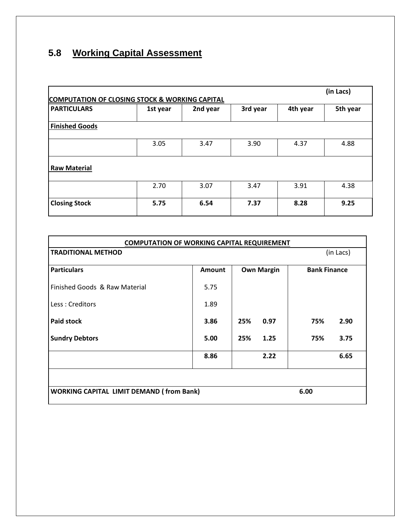# **5.8 Working Capital Assessment**

| (in Lacs)<br><b>COMPUTATION OF CLOSING STOCK &amp; WORKING CAPITAL</b> |          |          |          |          |          |  |  |
|------------------------------------------------------------------------|----------|----------|----------|----------|----------|--|--|
| <b>PARTICULARS</b>                                                     | 1st year | 2nd year | 3rd year | 4th year | 5th year |  |  |
| <b>Finished Goods</b>                                                  |          |          |          |          |          |  |  |
|                                                                        | 3.05     | 3.47     | 3.90     | 4.37     | 4.88     |  |  |
| <b>Raw Material</b>                                                    |          |          |          |          |          |  |  |
|                                                                        | 2.70     | 3.07     | 3.47     | 3.91     | 4.38     |  |  |
| <b>Closing Stock</b>                                                   | 5.75     | 6.54     | 7.37     | 8.28     | 9.25     |  |  |

| <b>COMPUTATION OF WORKING CAPITAL REQUIREMENT</b> |               |                   |                     |  |  |  |
|---------------------------------------------------|---------------|-------------------|---------------------|--|--|--|
| <b>TRADITIONAL METHOD</b>                         |               |                   | (in Lacs)           |  |  |  |
|                                                   |               |                   |                     |  |  |  |
| <b>Particulars</b>                                | <b>Amount</b> | <b>Own Margin</b> | <b>Bank Finance</b> |  |  |  |
| Finished Goods & Raw Material                     | 5.75          |                   |                     |  |  |  |
| Less: Creditors                                   | 1.89          |                   |                     |  |  |  |
| <b>Paid stock</b>                                 | 3.86          | 25%<br>0.97       | 75%<br>2.90         |  |  |  |
| <b>Sundry Debtors</b>                             | 5.00          | 1.25<br>25%       | 3.75<br>75%         |  |  |  |
|                                                   | 8.86          | 2.22              | 6.65                |  |  |  |
|                                                   |               |                   |                     |  |  |  |
| <b>WORKING CAPITAL LIMIT DEMAND (from Bank)</b>   |               | 6.00              |                     |  |  |  |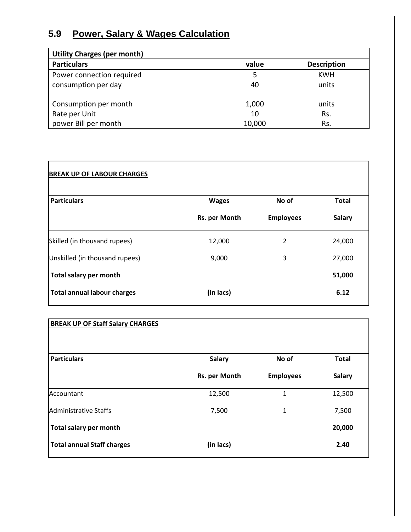# **5.9 Power, Salary & Wages Calculation**

| <b>Utility Charges (per month)</b> |        |                    |
|------------------------------------|--------|--------------------|
| <b>Particulars</b>                 | value  | <b>Description</b> |
| Power connection required          | 5      | <b>KWH</b>         |
| consumption per day                | 40     | units              |
| Consumption per month              | 1,000  | units              |
| Rate per Unit                      | 10     | Rs.                |
| power Bill per month               | 10,000 | Rs.                |

| <b>BREAK UP OF LABOUR CHARGES</b>  |               |                  |               |
|------------------------------------|---------------|------------------|---------------|
| <b>Particulars</b>                 | <b>Wages</b>  | No of            | <b>Total</b>  |
|                                    | Rs. per Month | <b>Employees</b> | <b>Salary</b> |
| Skilled (in thousand rupees)       | 12,000        | 2                | 24,000        |
| Unskilled (in thousand rupees)     | 9,000         | 3                | 27,000        |
| Total salary per month             |               |                  | 51,000        |
| <b>Total annual labour charges</b> | (in lacs)     |                  | 6.12          |

|--|

| <b>Particulars</b>                | <b>Salary</b> | No of            | <b>Total</b>  |
|-----------------------------------|---------------|------------------|---------------|
|                                   | Rs. per Month | <b>Employees</b> | <b>Salary</b> |
| Accountant                        | 12,500        | 1                | 12,500        |
| <b>Administrative Staffs</b>      | 7,500         | 1                | 7,500         |
| Total salary per month            |               |                  | 20,000        |
| <b>Total annual Staff charges</b> | (in lacs)     |                  | 2.40          |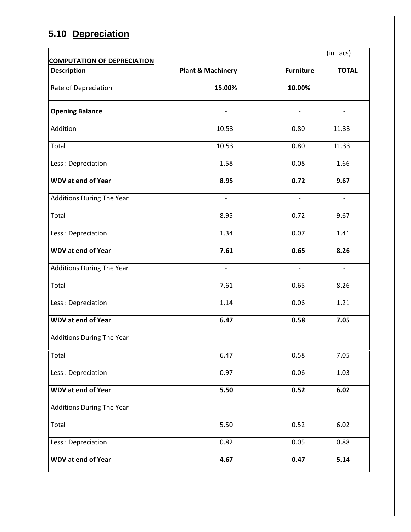# **5.10 Depreciation**

| <b>COMPUTATION OF DEPRECIATION</b> |                              |                          | (in Lacs)                |
|------------------------------------|------------------------------|--------------------------|--------------------------|
| <b>Description</b>                 | <b>Plant &amp; Machinery</b> | <b>Furniture</b>         | <b>TOTAL</b>             |
| Rate of Depreciation               | 15.00%                       | 10.00%                   |                          |
| <b>Opening Balance</b>             |                              |                          |                          |
| Addition                           | 10.53                        | 0.80                     | 11.33                    |
| Total                              | 10.53                        | 0.80                     | 11.33                    |
| Less: Depreciation                 | 1.58                         | 0.08                     | 1.66                     |
| <b>WDV at end of Year</b>          | 8.95                         | 0.72                     | 9.67                     |
| <b>Additions During The Year</b>   | $\overline{\phantom{a}}$     | $\overline{\phantom{a}}$ | $\overline{\phantom{a}}$ |
| Total                              | 8.95                         | 0.72                     | 9.67                     |
| Less: Depreciation                 | 1.34                         | 0.07                     | 1.41                     |
| <b>WDV at end of Year</b>          | 7.61                         | 0.65                     | 8.26                     |
| <b>Additions During The Year</b>   | $\overline{\phantom{a}}$     | $\overline{\phantom{a}}$ | $\overline{\phantom{a}}$ |
| Total                              | 7.61                         | 0.65                     | 8.26                     |
| Less: Depreciation                 | 1.14                         | 0.06                     | 1.21                     |
| <b>WDV at end of Year</b>          | 6.47                         | 0.58                     | 7.05                     |
| <b>Additions During The Year</b>   |                              |                          |                          |
| Total                              | 6.47                         | 0.58                     | 7.05                     |
| Less: Depreciation                 | 0.97                         | 0.06                     | 1.03                     |
| <b>WDV at end of Year</b>          | 5.50                         | 0.52                     | 6.02                     |
| <b>Additions During The Year</b>   | $\overline{\phantom{0}}$     | $\qquad \qquad -$        | $\overline{\phantom{a}}$ |
| Total                              | 5.50                         | 0.52                     | 6.02                     |
| Less: Depreciation                 | 0.82                         | 0.05                     | 0.88                     |
| <b>WDV at end of Year</b>          | 4.67                         | 0.47                     | 5.14                     |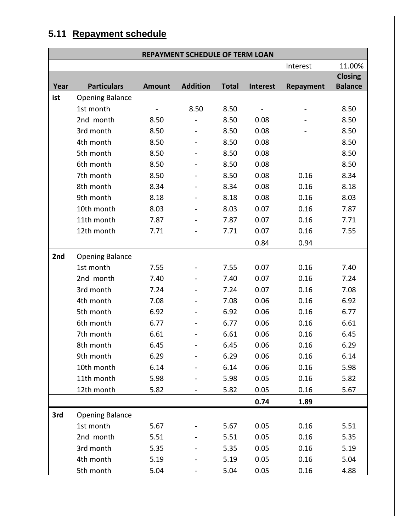# **5.11 Repayment schedule**

|      | REPAYMENT SCHEDULE OF TERM LOAN |               |                 |              |                 |                  |                |
|------|---------------------------------|---------------|-----------------|--------------|-----------------|------------------|----------------|
|      |                                 |               |                 |              |                 | Interest         | 11.00%         |
|      |                                 |               |                 |              |                 |                  | <b>Closing</b> |
| Year | <b>Particulars</b>              | <b>Amount</b> | <b>Addition</b> | <b>Total</b> | <b>Interest</b> | <b>Repayment</b> | <b>Balance</b> |
| ist  | <b>Opening Balance</b>          |               |                 |              |                 |                  |                |
|      | 1st month                       |               | 8.50            | 8.50         |                 |                  | 8.50           |
|      | 2nd month                       | 8.50          |                 | 8.50         | 0.08            |                  | 8.50           |
|      | 3rd month                       | 8.50          |                 | 8.50         | 0.08            |                  | 8.50           |
|      | 4th month                       | 8.50          |                 | 8.50         | 0.08            |                  | 8.50           |
|      | 5th month                       | 8.50          |                 | 8.50         | 0.08            |                  | 8.50           |
|      | 6th month                       | 8.50          |                 | 8.50         | 0.08            |                  | 8.50           |
|      | 7th month                       | 8.50          |                 | 8.50         | 0.08            | 0.16             | 8.34           |
|      | 8th month                       | 8.34          |                 | 8.34         | 0.08            | 0.16             | 8.18           |
|      | 9th month                       | 8.18          |                 | 8.18         | 0.08            | 0.16             | 8.03           |
|      | 10th month                      | 8.03          |                 | 8.03         | 0.07            | 0.16             | 7.87           |
|      | 11th month                      | 7.87          |                 | 7.87         | 0.07            | 0.16             | 7.71           |
|      | 12th month                      | 7.71          |                 | 7.71         | 0.07            | 0.16             | 7.55           |
|      |                                 |               |                 |              | 0.84            | 0.94             |                |
| 2nd  | <b>Opening Balance</b>          |               |                 |              |                 |                  |                |
|      | 1st month                       | 7.55          |                 | 7.55         | 0.07            | 0.16             | 7.40           |
|      | 2nd month                       | 7.40          |                 | 7.40         | 0.07            | 0.16             | 7.24           |
|      | 3rd month                       | 7.24          |                 | 7.24         | 0.07            | 0.16             | 7.08           |
|      | 4th month                       | 7.08          |                 | 7.08         | 0.06            | 0.16             | 6.92           |
|      | 5th month                       | 6.92          |                 | 6.92         | 0.06            | 0.16             | 6.77           |
|      | 6th month                       | 6.77          |                 | 6.77         | 0.06            | 0.16             | 6.61           |
|      | 7th month                       | 6.61          |                 | 6.61         | 0.06            | 0.16             | 6.45           |
|      | 8th month                       | 6.45          |                 | 6.45         | 0.06            | 0.16             | 6.29           |
|      | 9th month                       | 6.29          |                 | 6.29         | 0.06            | 0.16             | 6.14           |
|      | 10th month                      | 6.14          |                 | 6.14         | 0.06            | 0.16             | 5.98           |
|      | 11th month                      | 5.98          |                 | 5.98         | 0.05            | 0.16             | 5.82           |
|      | 12th month                      | 5.82          |                 | 5.82         | 0.05            | 0.16             | 5.67           |
|      |                                 |               |                 |              | 0.74            | 1.89             |                |
| 3rd  | <b>Opening Balance</b>          |               |                 |              |                 |                  |                |
|      | 1st month                       | 5.67          |                 | 5.67         | 0.05            | 0.16             | 5.51           |
|      | 2nd month                       | 5.51          |                 | 5.51         | 0.05            | 0.16             | 5.35           |
|      | 3rd month                       | 5.35          |                 | 5.35         | 0.05            | 0.16             | 5.19           |
|      | 4th month                       | 5.19          |                 | 5.19         | 0.05            | 0.16             | 5.04           |
|      | 5th month                       | 5.04          |                 | 5.04         | 0.05            | 0.16             | 4.88           |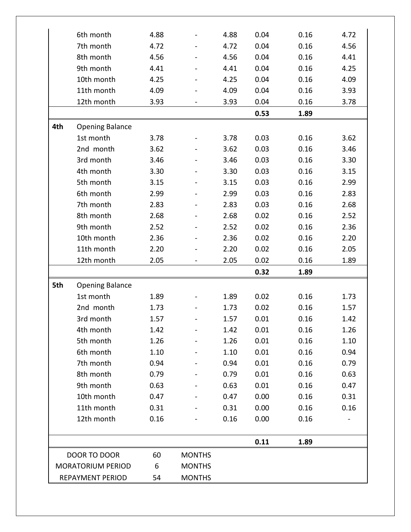|     | 6th month                | 4.88 |                              | 4.88 | 0.04 | 0.16 | 4.72 |
|-----|--------------------------|------|------------------------------|------|------|------|------|
|     | 7th month                | 4.72 |                              | 4.72 | 0.04 | 0.16 | 4.56 |
|     | 8th month                | 4.56 | $\qquad \qquad \blacksquare$ | 4.56 | 0.04 | 0.16 | 4.41 |
|     | 9th month                | 4.41 |                              | 4.41 | 0.04 | 0.16 | 4.25 |
|     | 10th month               | 4.25 |                              | 4.25 | 0.04 | 0.16 | 4.09 |
|     | 11th month               | 4.09 |                              | 4.09 | 0.04 | 0.16 | 3.93 |
|     | 12th month               | 3.93 |                              | 3.93 | 0.04 | 0.16 | 3.78 |
|     |                          |      |                              |      | 0.53 | 1.89 |      |
| 4th | <b>Opening Balance</b>   |      |                              |      |      |      |      |
|     | 1st month                | 3.78 |                              | 3.78 | 0.03 | 0.16 | 3.62 |
|     | 2nd month                | 3.62 |                              | 3.62 | 0.03 | 0.16 | 3.46 |
|     | 3rd month                | 3.46 |                              | 3.46 | 0.03 | 0.16 | 3.30 |
|     | 4th month                | 3.30 |                              | 3.30 | 0.03 | 0.16 | 3.15 |
|     | 5th month                | 3.15 |                              | 3.15 | 0.03 | 0.16 | 2.99 |
|     | 6th month                | 2.99 |                              | 2.99 | 0.03 | 0.16 | 2.83 |
|     | 7th month                | 2.83 |                              | 2.83 | 0.03 | 0.16 | 2.68 |
|     | 8th month                | 2.68 |                              | 2.68 | 0.02 | 0.16 | 2.52 |
|     | 9th month                | 2.52 |                              | 2.52 | 0.02 | 0.16 | 2.36 |
|     | 10th month               | 2.36 |                              | 2.36 | 0.02 | 0.16 | 2.20 |
|     | 11th month               | 2.20 |                              | 2.20 | 0.02 | 0.16 | 2.05 |
|     | 12th month               | 2.05 |                              | 2.05 | 0.02 | 0.16 | 1.89 |
|     |                          |      |                              |      | 0.32 | 1.89 |      |
| 5th | <b>Opening Balance</b>   |      |                              |      |      |      |      |
|     | 1st month                | 1.89 |                              | 1.89 | 0.02 | 0.16 | 1.73 |
|     | 2nd month                | 1.73 |                              | 1.73 | 0.02 | 0.16 | 1.57 |
|     | 3rd month                | 1.57 |                              | 1.57 | 0.01 | 0.16 | 1.42 |
|     | 4th month                | 1.42 |                              | 1.42 | 0.01 | 0.16 | 1.26 |
|     | 5th month                | 1.26 |                              | 1.26 | 0.01 | 0.16 | 1.10 |
|     | 6th month                | 1.10 |                              | 1.10 | 0.01 | 0.16 | 0.94 |
|     | 7th month                | 0.94 |                              | 0.94 | 0.01 | 0.16 | 0.79 |
|     | 8th month                | 0.79 |                              | 0.79 | 0.01 | 0.16 | 0.63 |
|     | 9th month                | 0.63 |                              | 0.63 | 0.01 | 0.16 | 0.47 |
|     | 10th month               | 0.47 |                              | 0.47 | 0.00 | 0.16 | 0.31 |
|     | 11th month               | 0.31 |                              | 0.31 | 0.00 | 0.16 | 0.16 |
|     | 12th month               | 0.16 |                              | 0.16 | 0.00 | 0.16 |      |
|     |                          |      |                              |      | 0.11 | 1.89 |      |
|     | DOOR TO DOOR             | 60   | <b>MONTHS</b>                |      |      |      |      |
|     | <b>MORATORIUM PERIOD</b> | 6    | <b>MONTHS</b>                |      |      |      |      |
|     | <b>REPAYMENT PERIOD</b>  | 54   | <b>MONTHS</b>                |      |      |      |      |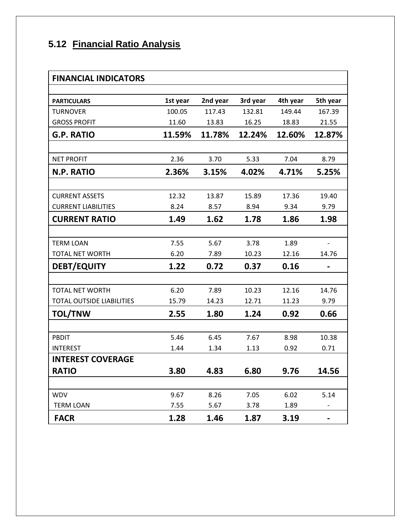# **5.12 Financial Ratio Analysis**

| <b>FINANCIAL INDICATORS</b>      |          |          |          |          |          |
|----------------------------------|----------|----------|----------|----------|----------|
|                                  |          |          |          |          |          |
| <b>PARTICULARS</b>               | 1st year | 2nd year | 3rd year | 4th year | 5th year |
| <b>TURNOVER</b>                  | 100.05   | 117.43   | 132.81   | 149.44   | 167.39   |
| <b>GROSS PROFIT</b>              | 11.60    | 13.83    | 16.25    | 18.83    | 21.55    |
| <b>G.P. RATIO</b>                | 11.59%   | 11.78%   | 12.24%   | 12.60%   | 12.87%   |
|                                  |          |          |          |          |          |
| <b>NET PROFIT</b>                | 2.36     | 3.70     | 5.33     | 7.04     | 8.79     |
| <b>N.P. RATIO</b>                | 2.36%    | 3.15%    | 4.02%    | 4.71%    | 5.25%    |
|                                  |          |          |          |          |          |
| <b>CURRENT ASSETS</b>            | 12.32    | 13.87    | 15.89    | 17.36    | 19.40    |
| <b>CURRENT LIABILITIES</b>       | 8.24     | 8.57     | 8.94     | 9.34     | 9.79     |
| <b>CURRENT RATIO</b>             | 1.49     | 1.62     | 1.78     | 1.86     | 1.98     |
|                                  |          |          |          |          |          |
| <b>TERM LOAN</b>                 | 7.55     | 5.67     | 3.78     | 1.89     |          |
| TOTAL NET WORTH                  | 6.20     | 7.89     | 10.23    | 12.16    | 14.76    |
| <b>DEBT/EQUITY</b>               | 1.22     | 0.72     | 0.37     | 0.16     |          |
|                                  |          |          |          |          |          |
| <b>TOTAL NET WORTH</b>           | 6.20     | 7.89     | 10.23    | 12.16    | 14.76    |
| <b>TOTAL OUTSIDE LIABILITIES</b> | 15.79    | 14.23    | 12.71    | 11.23    | 9.79     |
| <b>TOL/TNW</b>                   | 2.55     | 1.80     | 1.24     | 0.92     | 0.66     |
|                                  |          |          |          |          |          |
| PBDIT                            | 5.46     | 6.45     | 7.67     | 8.98     | 10.38    |
| <b>INTEREST</b>                  | 1.44     | 1.34     | 1.13     | 0.92     | 0.71     |
| <b>INTEREST COVERAGE</b>         |          |          |          |          |          |
| <b>RATIO</b>                     | 3.80     | 4.83     | 6.80     | 9.76     | 14.56    |
|                                  |          |          |          |          |          |
| <b>WDV</b>                       | 9.67     | 8.26     | 7.05     | 6.02     | 5.14     |
| <b>TERM LOAN</b>                 | 7.55     | 5.67     | 3.78     | 1.89     |          |
| <b>FACR</b>                      | 1.28     | 1.46     | 1.87     | 3.19     |          |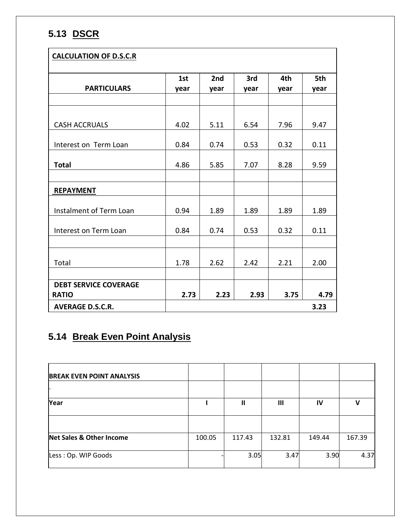## **5.13 DSCR**

| <b>CALCULATION OF D.S.C.R</b> |      |                 |      |      |      |
|-------------------------------|------|-----------------|------|------|------|
|                               | 1st  | 2 <sub>nd</sub> | 3rd  | 4th  | 5th  |
| <b>PARTICULARS</b>            | year | year            | year | year | year |
|                               |      |                 |      |      |      |
|                               |      |                 |      |      |      |
| <b>CASH ACCRUALS</b>          | 4.02 | 5.11            | 6.54 | 7.96 | 9.47 |
|                               | 0.84 | 0.74            | 0.53 | 0.32 | 0.11 |
| Interest on Term Loan         |      |                 |      |      |      |
| <b>Total</b>                  | 4.86 | 5.85            | 7.07 | 8.28 | 9.59 |
|                               |      |                 |      |      |      |
| <b>REPAYMENT</b>              |      |                 |      |      |      |
| Instalment of Term Loan       | 0.94 | 1.89            | 1.89 | 1.89 | 1.89 |
|                               |      |                 |      |      |      |
| Interest on Term Loan         | 0.84 | 0.74            | 0.53 | 0.32 | 0.11 |
|                               |      |                 |      |      |      |
|                               |      |                 |      |      |      |
| Total                         | 1.78 | 2.62            | 2.42 | 2.21 | 2.00 |
|                               |      |                 |      |      |      |
| <b>DEBT SERVICE COVERAGE</b>  |      |                 |      |      |      |
| <b>RATIO</b>                  | 2.73 | 2.23            | 2.93 | 3.75 | 4.79 |
| <b>AVERAGE D.S.C.R.</b>       |      |                 |      |      | 3.23 |

## **5.14 Break Even Point Analysis**

| <b>BREAK EVEN POINT ANALYSIS</b>    |        |              |        |        |        |
|-------------------------------------|--------|--------------|--------|--------|--------|
| Year                                |        | $\mathbf{I}$ | Ш      | IV     | V      |
|                                     |        |              |        |        |        |
| <b>Net Sales &amp; Other Income</b> | 100.05 | 117.43       | 132.81 | 149.44 | 167.39 |
| Less: Op. WIP Goods                 |        | 3.05         | 3.47   | 3.90   | 4.37   |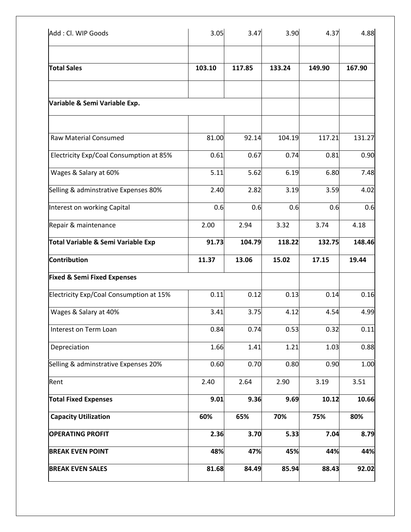| Add: Cl. WIP Goods                             | 3.05   | 3.47   | 3.90   | 4.37   | 4.88   |
|------------------------------------------------|--------|--------|--------|--------|--------|
|                                                |        |        |        |        |        |
| <b>Total Sales</b>                             | 103.10 | 117.85 | 133.24 | 149.90 | 167.90 |
| Variable & Semi Variable Exp.                  |        |        |        |        |        |
| <b>Raw Material Consumed</b>                   | 81.00  | 92.14  | 104.19 | 117.21 | 131.27 |
| Electricity Exp/Coal Consumption at 85%        | 0.61   | 0.67   | 0.74   | 0.81   | 0.90   |
| Wages & Salary at 60%                          | 5.11   | 5.62   | 6.19   | 6.80   | 7.48   |
| Selling & adminstrative Expenses 80%           | 2.40   | 2.82   | 3.19   | 3.59   | 4.02   |
| Interest on working Capital                    | 0.6    | 0.6    | 0.6    | 0.6    | 0.6    |
| Repair & maintenance                           | 2.00   | 2.94   | 3.32   | 3.74   | 4.18   |
| Total Variable & Semi Variable Exp             | 91.73  | 104.79 | 118.22 | 132.75 | 148.46 |
| <b>Contribution</b>                            | 11.37  | 13.06  | 15.02  | 17.15  | 19.44  |
| <b>Fixed &amp; Semi Fixed Expenses</b>         |        |        |        |        |        |
| <b>Electricity Exp/Coal Consumption at 15%</b> | 0.11   | 0.12   | 0.13   | 0.14   | 0.16   |
| Wages & Salary at 40%                          | 3.41   | 3.75   | 4.12   | 4.54   | 4.99   |
| Interest on Term Loan                          | 0.84   | 0.74   | 0.53   | 0.32   | 0.11   |
| Depreciation                                   | 1.66   | 1.41   | 1.21   | 1.03   | 0.88   |
| Selling & adminstrative Expenses 20%           | 0.60   | 0.70   | 0.80   | 0.90   | 1.00   |
| Rent                                           | 2.40   | 2.64   | 2.90   | 3.19   | 3.51   |
| <b>Total Fixed Expenses</b>                    | 9.01   | 9.36   | 9.69   | 10.12  | 10.66  |
| <b>Capacity Utilization</b>                    | 60%    | 65%    | 70%    | 75%    | 80%    |
| <b>OPERATING PROFIT</b>                        | 2.36   | 3.70   | 5.33   | 7.04   | 8.79   |
| <b>BREAK EVEN POINT</b>                        | 48%    | 47%    | 45%    | 44%    | 44%    |
| <b>BREAK EVEN SALES</b>                        | 81.68  | 84.49  | 85.94  | 88.43  | 92.02  |